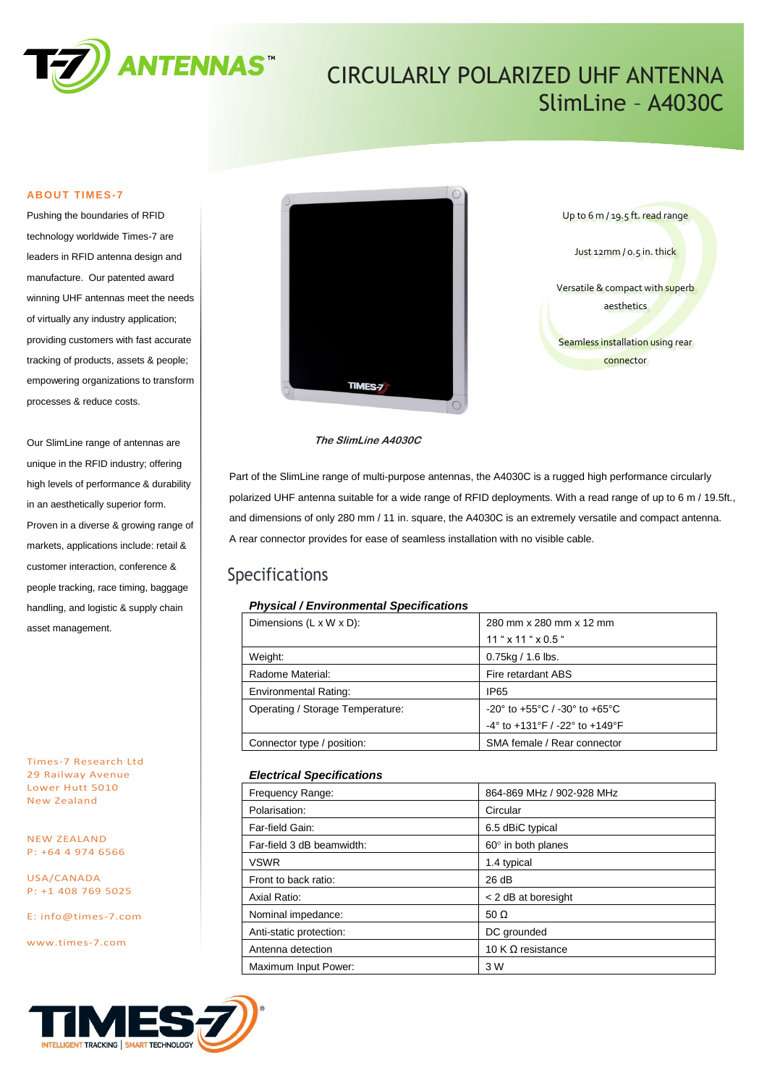

# CIRCULARLY POLARIZED UHF ANTENNA SlimLine – A4030C

#### **ABOUT TIMES-7**

Pushing the boundaries of RFID technology worldwide Times-7 are leaders in RFID antenna design and manufacture. Our patented award winning UHF antennas meet the needs of virtually any industry application; providing customers with fast accurate tracking of products, assets & people; empowering organizations to transform processes & reduce costs.

Our SlimLine range of antennas are unique in the RFID industry; offering high levels of performance & durability in an aesthetically superior form. Proven in a diverse & growing range of markets, applications include: retail & customer interaction, conference & people tracking, race timing, baggage handling, and logistic & supply chain asset management.

Times-7 Research Ltd 29 Railway Avenue Lower Hutt 5010 New Zealand

NEW ZEALAND P: +64 4 974 6566

USA/CANADA P: +1 408 769 5025

E: [info@times-7.com](mailto:info@times-7.com)

www.times-7.com





#### **The SlimLine A4030C**

Part of the SlimLine range of multi-purpose antennas, the A4030C is a rugged high performance circularly polarized UHF antenna suitable for a wide range of RFID deployments. With a read range of up to 6 m / 19.5ft., and dimensions of only 280 mm / 11 in. square, the A4030C is an extremely versatile and compact antenna. A rear connector provides for ease of seamless installation with no visible cable.

### Specifications

#### *Physical / Environmental Specifications*

| Dimensions $(L \times W \times D)$ : | 280 mm x 280 mm x 12 mm                                             |  |
|--------------------------------------|---------------------------------------------------------------------|--|
|                                      | $11$ " $\times$ 11 " $\times$ 0.5 "                                 |  |
| Weight:                              | $0.75$ kg / 1.6 lbs.                                                |  |
| Radome Material:                     | Fire retardant ABS                                                  |  |
| <b>Environmental Rating:</b>         | IP65                                                                |  |
| Operating / Storage Temperature:     | $-20^{\circ}$ to $+55^{\circ}$ C / $-30^{\circ}$ to $+65^{\circ}$ C |  |
|                                      | -4° to +131°F / -22° to +149°F                                      |  |
| Connector type / position:           | SMA female / Rear connector                                         |  |

#### *Electrical Specifications*

| Frequency Range:          | 864-869 MHz / 902-928 MHz |
|---------------------------|---------------------------|
| Polarisation:             | Circular                  |
| Far-field Gain:           | 6.5 dBiC typical          |
| Far-field 3 dB beamwidth: | $60^\circ$ in both planes |
| <b>VSWR</b>               | 1.4 typical               |
| Front to back ratio:      | 26 dB                     |
| Axial Ratio:              | < 2 dB at boresight       |
| Nominal impedance:        | 50 $\Omega$               |
| Anti-static protection:   | DC grounded               |
| Antenna detection         | 10 K $\Omega$ resistance  |
| Maximum Input Power:      | 3 W                       |